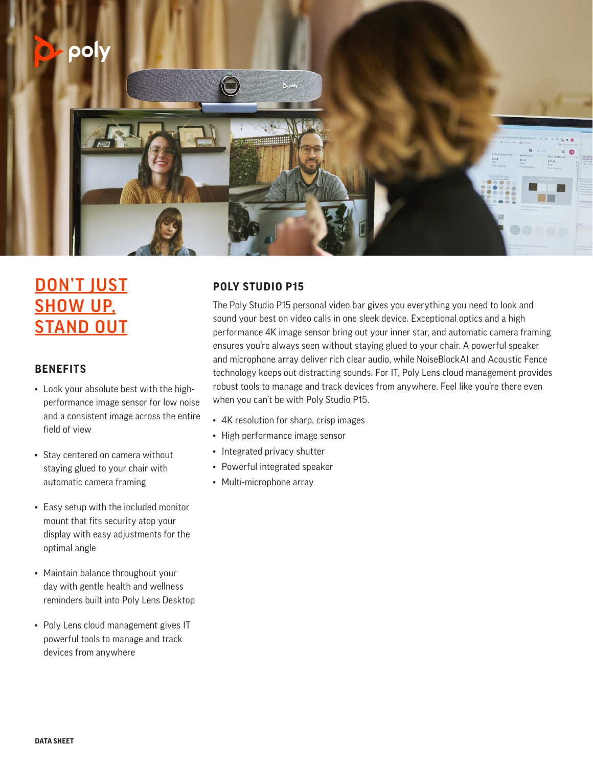

# DON'T JUST **SHOW UP, STAND OUT**

### **BENEFITS**

- Look your absolute best with the highperformance image sensor for low noise and a consistent image across the entire field of view
- Stay centered on camera without staying glued to your chair with automatic camera framing
- Easy setup with the included monitor mount that fits security atop your display with easy adjustments for the optimal angle
- Maintain balance throughout your day with gentle health and wellness reminders built into Poly Lens Desktop
- Poly Lens cloud management gives IT powerful tools to manage and track devices from anywhere

## **POLY STUDIO P15**

The Poly Studio P15 personal video bar gives you everything you need to look and sound your best on video calls in one sleek device. Exceptional optics and a high performance 4K image sensor bring out your inner star, and automatic camera framing ensures you're always seen without staying glued to your chair. A powerful speaker and microphone array deliver rich clear audio, while NoiseBlockAI and Acoustic Fence technology keeps out distracting sounds. For IT, Poly Lens cloud management provides robust tools to manage and track devices from anywhere. Feel like you're there even when you can't be with Poly Studio P15.

- 4K resolution for sharp, crisp images
- High performance image sensor
- Integrated privacy shutter
- Powerful integrated speaker
- Multi-microphone array